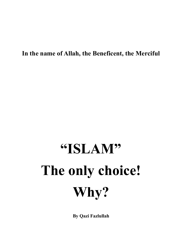**In the name of Allah, the Beneficent, the Merciful** 

# **"ISLAM" The only choice! Why?**

**By Qazi Fazlullah**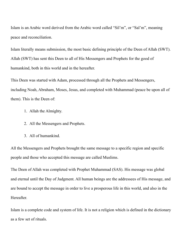Islam is an Arabic word derived from the Arabic word called "Sil'm", or "Sal'm", meaning peace and reconciliation.

Islam literally means submission, the most basic defining principle of the Deen of Allah (SWT). Allah (SWT) has sent this Deen to all of His Messengers and Prophets for the good of humankind, both in this world and in the hereafter.

This Deen was started with Adam, processed through all the Prophets and Messengers, including Noah, Abraham, Moses, Jesus, and completed with Muhammad (peace be upon all of them). This is the Deen of:

- 1. Allah the Almighty.
- 2. All the Messengers and Prophets.
- 3. All of humankind.

All the Messengers and Prophets brought the same message to a specific region and specific people and those who accepted this message are called Muslims.

The Deen of Allah was completed with Prophet Muhammad (SAS). His message was global and eternal until the Day of Judgment. All human beings are the addressees of His message, and are bound to accept the message in order to live a prosperous life in this world, and also in the Hereafter.

Islam is a complete code and system of life. It is not a religion which is defined in the dictionary as a few set of rituals.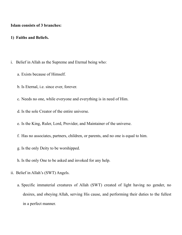#### **Islam consists of 3 branches:**

#### **1) Faiths and Beliefs.**

- i. Belief in Allah as the Supreme and Eternal being who:
	- a. Exists because of Himself.
	- b. Is Eternal, i.e. since ever, forever.
	- c. Needs no one, while everyone and everything is in need of Him.
	- d. Is the sole Creator of the entire universe.
	- e. Is the King, Ruler, Lord, Provider, and Maintainer of the universe.
	- f. Has no associates, partners, children, or parents, and no one is equal to him.
	- g. Is the only Deity to be worshipped.
	- h. Is the only One to be asked and invoked for any help.
- ii. Belief in Allah's (SWT) Angels.
	- a. Specific immaterial creatures of Allah (SWT) created of light having no gender, no desires, and obeying Allah, serving His cause, and performing their duties to the fullest in a perfect manner.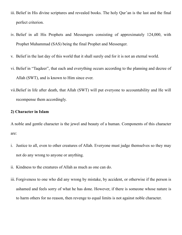- iii. Belief in His divine scriptures and revealed books. The holy Qur'an is the last and the final perfect criterion.
- iv. Belief in all His Prophets and Messengers consisting of approximately 124,000, with Prophet Muhammad (SAS) being the final Prophet and Messenger.
- v. Belief in the last day of this world that it shall surely end for it is not an eternal world.
- vi. Belief in "Taqdeer", that each and everything occurs according to the planning and decree of Allah (SWT), and is known to Him since ever.
- vii.Belief in life after death, that Allah (SWT) will put everyone to accountability and He will recompense them accordingly.

### **2) Character in Islam**

A noble and gentle character is the jewel and beauty of a human. Components of this character are:

- i. Justice to all, even to other creatures of Allah. Everyone must judge themselves so they may not do any wrong to anyone or anything.
- ii. Kindness to the creatures of Allah as much as one can do.
- iii. Forgiveness to one who did any wrong by mistake, by accident, or otherwise if the person is ashamed and feels sorry of what he has done. However, if there is someone whose nature is to harm others for no reason, then revenge to equal limits is not against noble character.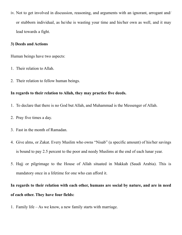iv. Not to get involved in discussion, reasoning, and arguments with an ignorant, arrogant and/ or stubborn individual, as he/she is wasting your time and his/her own as well, and it may lead towards a fight.

### **3) Deeds and Actions**

Human beings have two aspects:

- 1. Their relation to Allah.
- 2. Their relation to fellow human beings.

## **In regards to their relation to Allah, they may practice five deeds.**

- 1. To declare that there is no God but Allah, and Muhammad is the Messenger of Allah.
- 2. Pray five times a day.
- 3. Fast in the month of Ramadan.
- 4. Give alms, or Zakat. Every Muslim who owns "Nisab" (a specific amount) of his/her savings is bound to pay 2.5 percent to the poor and needy Muslims at the end of each lunar year.
- 5. Hajj or pilgrimage to the House of Allah situated in Makkah (Saudi Arabia). This is mandatory once in a lifetime for one who can afford it.

# **In regards to their relation with each other, humans are social by nature, and are in need of each other. They have four fields:**

1. Family life – As we know, a new family starts with marriage.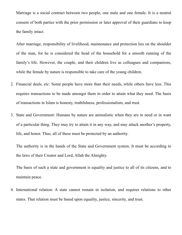Marriage is a social contract between two people, one male and one female. It is a neutral consent of both parties with the prior permission or later approval of their guardians to keep the family intact.

After marriage, responsibility of livelihood, maintenance and protection lies on the shoulder of the man, for he is considered the head of the household for a smooth running of the family's life. However, the couple, and their children live as colleagues and companions, while the female by nature is responsible to take care of the young children.

- 2. Financial deals, etc: Some people have more than their needs, while others have less. This requires transactions to be made amongst them in order to attain what they need. The basis of transactions in Islam is honesty, truthfulness, professionalism, and trust.
- 3. State and Government: Humans by nature are animalistic when they are in need or in want of a particular thing. They may try to attain it in any way, and may attack another's property, life, and honor. Thus, all of these must be protected by an authority.

The authority is in the hands of the State and Government system. It must be according to the laws of their Creator and Lord, Allah the Almighty.

The basis of such a state and government is equality and justice to all of its citizens, and to maintain peace.

4. International relation: A state cannot remain in isolation, and requires relations to other states. That relation must be based upon equality, justice, sincerity, and trust.